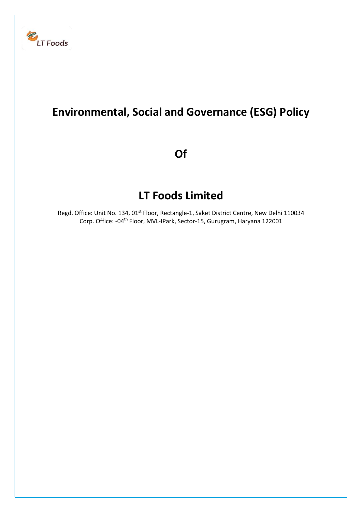

## Environmental, Social and Governance (ESG) Policy

Of

# LT Foods Limited

Regd. Office: Unit No. 134, 01<sup>st</sup> Floor, Rectangle-1, Saket District Centre, New Delhi 110034 Corp. Office: -04<sup>th</sup> Floor, MVL-IPark, Sector-15, Gurugram, Haryana 122001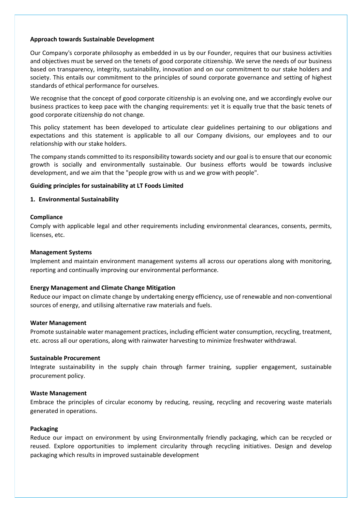#### Approach towards Sustainable Development

Our Company's corporate philosophy as embedded in us by our Founder, requires that our business activities and objectives must be served on the tenets of good corporate citizenship. We serve the needs of our business based on transparency, integrity, sustainability, innovation and on our commitment to our stake holders and society. This entails our commitment to the principles of sound corporate governance and setting of highest standards of ethical performance for ourselves.

We recognise that the concept of good corporate citizenship is an evolving one, and we accordingly evolve our business practices to keep pace with the changing requirements: yet it is equally true that the basic tenets of good corporate citizenship do not change.

This policy statement has been developed to articulate clear guidelines pertaining to our obligations and expectations and this statement is applicable to all our Company divisions, our employees and to our relationship with our stake holders.

The company stands committed to its responsibility towards society and our goal is to ensure that our economic growth is socially and environmentally sustainable. Our business efforts would be towards inclusive development, and we aim that the "people grow with us and we grow with people".

#### Guiding principles for sustainability at LT Foods Limited

#### 1. Environmental Sustainability

#### **Compliance**

Comply with applicable legal and other requirements including environmental clearances, consents, permits, licenses, etc.

#### Management Systems

Implement and maintain environment management systems all across our operations along with monitoring, reporting and continually improving our environmental performance.

#### Energy Management and Climate Change Mitigation

Reduce our impact on climate change by undertaking energy efficiency, use of renewable and non-conventional sources of energy, and utilising alternative raw materials and fuels.

#### Water Management

Promote sustainable water management practices, including efficient water consumption, recycling, treatment, etc. across all our operations, along with rainwater harvesting to minimize freshwater withdrawal.

#### Sustainable Procurement

Integrate sustainability in the supply chain through farmer training, supplier engagement, sustainable procurement policy.

#### Waste Management

Embrace the principles of circular economy by reducing, reusing, recycling and recovering waste materials generated in operations.

#### Packaging

Reduce our impact on environment by using Environmentally friendly packaging, which can be recycled or reused. Explore opportunities to implement circularity through recycling initiatives. Design and develop packaging which results in improved sustainable development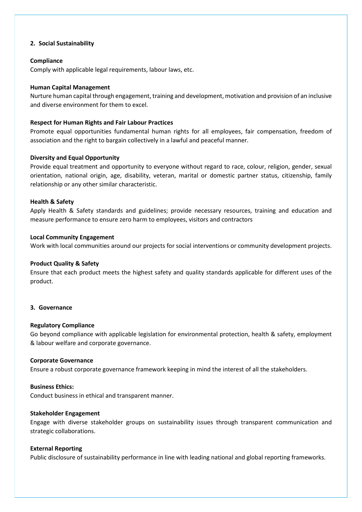## 2. Social Sustainability

## **Compliance**

Comply with applicable legal requirements, labour laws, etc.

## Human Capital Management

Nurture human capital through engagement, training and development, motivation and provision of an inclusive and diverse environment for them to excel.

## Respect for Human Rights and Fair Labour Practices

Promote equal opportunities fundamental human rights for all employees, fair compensation, freedom of association and the right to bargain collectively in a lawful and peaceful manner.

## Diversity and Equal Opportunity

Provide equal treatment and opportunity to everyone without regard to race, colour, religion, gender, sexual orientation, national origin, age, disability, veteran, marital or domestic partner status, citizenship, family relationship or any other similar characteristic.

## Health & Safety

Apply Health & Safety standards and guidelines; provide necessary resources, training and education and measure performance to ensure zero harm to employees, visitors and contractors

## Local Community Engagement

Work with local communities around our projects for social interventions or community development projects.

## Product Quality & Safety

Ensure that each product meets the highest safety and quality standards applicable for different uses of the product.

## 3. Governance

## Regulatory Compliance

Go beyond compliance with applicable legislation for environmental protection, health & safety, employment & labour welfare and corporate governance.

## Corporate Governance

Ensure a robust corporate governance framework keeping in mind the interest of all the stakeholders.

## Business Ethics:

Conduct business in ethical and transparent manner.

## Stakeholder Engagement

Engage with diverse stakeholder groups on sustainability issues through transparent communication and strategic collaborations.

## External Reporting

Public disclosure of sustainability performance in line with leading national and global reporting frameworks.